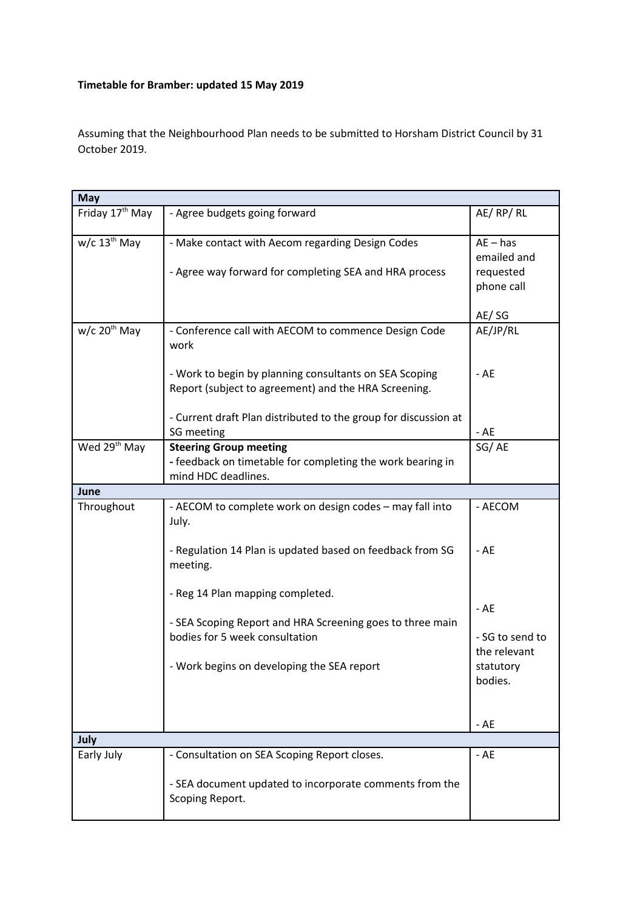## **Timetable for Bramber: updated 15 May 2019**

Assuming that the Neighbourhood Plan needs to be submitted to Horsham District Council by 31 October 2019.

| <b>May</b>                  |                                                                                                                                                                                                                                                   |                                                                         |  |
|-----------------------------|---------------------------------------------------------------------------------------------------------------------------------------------------------------------------------------------------------------------------------------------------|-------------------------------------------------------------------------|--|
| Friday 17 <sup>th</sup> May | - Agree budgets going forward                                                                                                                                                                                                                     | AE/RP/RL                                                                |  |
| $w/c$ 13 <sup>th</sup> May  | - Make contact with Aecom regarding Design Codes<br>- Agree way forward for completing SEA and HRA process                                                                                                                                        | $AE - has$<br>emailed and<br>requested<br>phone call<br>AE/SG           |  |
| $w/c$ 20 <sup>th</sup> May  | - Conference call with AECOM to commence Design Code<br>work<br>- Work to begin by planning consultants on SEA Scoping<br>Report (subject to agreement) and the HRA Screening.<br>- Current draft Plan distributed to the group for discussion at | AE/JP/RL<br>- AE                                                        |  |
|                             | SG meeting                                                                                                                                                                                                                                        | $-AE$                                                                   |  |
| Wed 29 <sup>th</sup> May    | <b>Steering Group meeting</b><br>- feedback on timetable for completing the work bearing in<br>mind HDC deadlines.                                                                                                                                | SG/AE                                                                   |  |
| June                        |                                                                                                                                                                                                                                                   |                                                                         |  |
| Throughout                  | - AECOM to complete work on design codes - may fall into<br>July.<br>- Regulation 14 Plan is updated based on feedback from SG<br>meeting.                                                                                                        | - AECOM<br>- AE                                                         |  |
|                             | - Reg 14 Plan mapping completed.<br>- SEA Scoping Report and HRA Screening goes to three main<br>bodies for 5 week consultation<br>- Work begins on developing the SEA report                                                                     | - AE<br>- SG to send to<br>the relevant<br>statutory<br>bodies.<br>- AE |  |
| July                        |                                                                                                                                                                                                                                                   |                                                                         |  |
| Early July                  | - Consultation on SEA Scoping Report closes.<br>- SEA document updated to incorporate comments from the<br>Scoping Report.                                                                                                                        | $-AE$                                                                   |  |